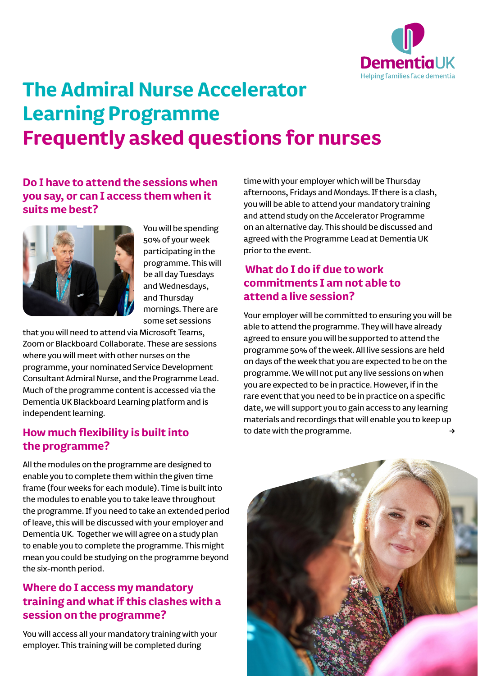

# **The Admiral Nurse Accelerator Learning Programme Frequently asked questions for nurses**

# **Do I have to attend the sessions when you say, or can I access them when it suits me best?**



You will be spending 50% of your week participating in the programme. This will be all day Tuesdays and Wednesdays, and Thursday mornings. There are some set sessions

that you will need to attend via Microsoft Teams, Zoom or Blackboard Collaborate. These are sessions where you will meet with other nurses on the programme, your nominated Service Development Consultant Admiral Nurse, and the Programme Lead. Much of the programme content is accessed via the Dementia UK Blackboard Learning platform and is independent learning.

#### **How much flexibility is built into the programme?**

All the modules on the programme are designed to enable you to complete them within the given time frame (four weeks for each module). Time is built into the modules to enable you to take leave throughout the programme. If you need to take an extended period of leave, this will be discussed with your employer and Dementia UK. Together we will agree on a study plan to enable you to complete the programme. This might mean you could be studying on the programme beyond the six-month period.

# **Where do I access my mandatory training and what if this clashes with a session on the programme?**

You will access all your mandatory training with your employer. This training will be completed during

time with your employer which will be Thursday afternoons, Fridays and Mondays. If there is a clash, you will be able to attend your mandatory training and attend study on the Accelerator Programme on an alternative day. This should be discussed and agreed with the Programme Lead at Dementia UK prior to the event.

# **What do I do if due to work commitments I am not able to attend a live session?**

Your employer will be committed to ensuring you will be able to attend the programme. They will have already agreed to ensure you will be supported to attend the programme 50% of the week. All live sessions are held on days of the week that you are expected to be on the programme. We will not put any live sessions on when you are expected to be in practice. However, if in the rare event that you need to be in practice on a specific date, we will support you to gain access to any learning materials and recordings that will enable you to keep up to date with the programme.